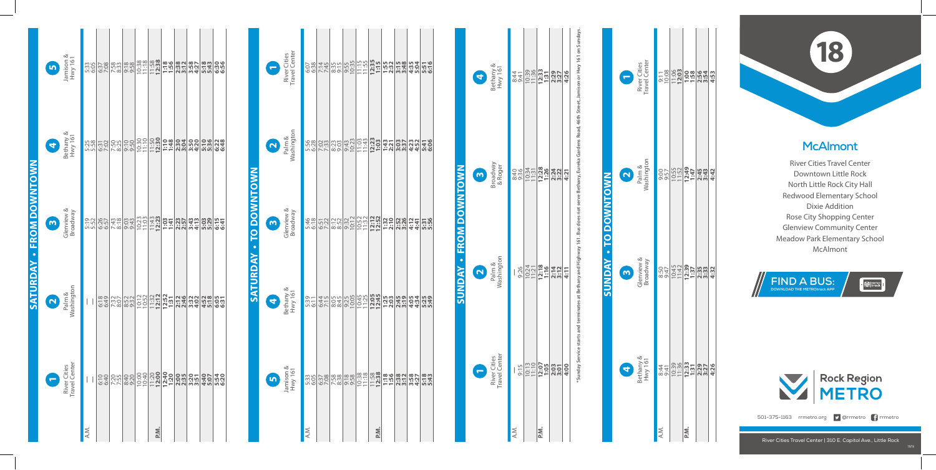## **McAlmont**

River Cities Travel Center Downtown Little Rock North Little Rock City Hall Redwood Elementary School Dixie Addition Rose City Shopping Center Glenview Community Center Meadow Park Elementary School McAlmont

## **18**

**Saturday • From Downtown**

**SATURDAY - FROM DOWNTOWN** 

**sunday • to Downtown**

*<u>ANONNS</u>* 

TO DOWNTOWN





501-375-1163 rrmetro.org **9** @rrmetro <sup>1</sup> rrmetro

**Saturday • to Downtown**

**SATURDAY** 

**TO DOWNTOWN** 

| Jamison &<br>Hwy 161<br>$\boldsymbol{\Theta}$ | 5:33 |                                                                                                                                 |      |              |       |       |       |      |                  | <u>ပြင် မြစ္ဆာမြစ္ဆား မြစ္ဆား မြစ္ဆား မြစ္ဆား မြစ္ဆား</u><br>ပြစ္ဆား မြစ္ဆား မြစ္ဆား မြစ္ဆား မြစ္ဆား မြစ္ဆား မြစ္ဆား မြစ္ဆား မြစ္ဆား မြစ္ဆား မြစ္ဆား မြစ္ဆား မြစ္ဆား မြစ္ဆာ<br>ပြစ္ဆား မြစ္ဆား မြစ္ဆား မြစ္ဆား မြစ္ဆား မြစ္ဆား မြစ္ဆား                                                                                                            |              |
|-----------------------------------------------|------|---------------------------------------------------------------------------------------------------------------------------------|------|--------------|-------|-------|-------|------|------------------|---------------------------------------------------------------------------------------------------------------------------------------------------------------------------------------------------------------------------------------------------------------------------------------------------------------------------------------------------|--------------|
| Bethany &<br>Hwy 161<br>G                     | 5:25 |                                                                                                                                 |      |              |       |       |       |      |                  | $\begin{array}{c}\n 0.01 \\  0.01 \\  0.01 \\  0.01 \\  0.01 \\  0.02 \\  0.03 \\  0.03 \\  0.03 \\  0.03 \\  0.03 \\  0.03 \\  0.03 \\  0.03 \\  0.03 \\  0.03 \\  0.03 \\  0.03 \\  0.03 \\  0.03 \\  0.03 \\  0.03 \\  0.03 \\  0.03 \\  0.03 \\  0.03 \\  0.03 \\  0.03 \\  0.03 \\  0.03 \\  0.03 \\  0.03 \\  0.03 \\  0.03 \\  0.03 \\  0$ |              |
| Glenview &<br>Broadway<br>$\bullet$           |      | <u>ှုံးပြင်းပြီး အမြစ်များ မြောင်းပြီး မြောက်မှု မြောက်မှု</u><br>မြောက်များ မြောက်များ မြောက်မှု မြောက်မှု များ မြောက်မှု များ |      |              |       |       |       |      |                  | 5:03<br>5:29                                                                                                                                                                                                                                                                                                                                      | 6:41         |
| Palm &<br>Palm &<br>Washington                |      | $1   \frac{89}{63}$                                                                                                             |      |              |       |       |       |      |                  |                                                                                                                                                                                                                                                                                                                                                   | 6:31         |
| River Cities<br>Travel Center<br>$\ddot{\P}$  |      | 6:40                                                                                                                            | 7:20 | 8:40<br>9:20 | 10:00 | 11:20 | 12:40 | 2:00 | $3:50$<br>$3:51$ | 4:40<br>5:07                                                                                                                                                                                                                                                                                                                                      | 5:54<br>6:20 |
|                                               | A.M. |                                                                                                                                 |      |              |       | P.M.  |       |      |                  |                                                                                                                                                                                                                                                                                                                                                   |              |

|                               | Bethany &<br>Hwy 161<br>4        | 8:41             | 10:39 | $12:33$<br>$1:31$               | 2:29             | 4:26 |
|-------------------------------|----------------------------------|------------------|-------|---------------------------------|------------------|------|
|                               | Broadway<br>& Roger<br>$\bullet$ | 8:40             | 10:34 | 12:28                           | 2:24             | 4:21 |
| <b>SUNDAY - FROM DOWNTOWN</b> | Palm &<br>Washington<br>N        | $-9:26$          | 10:24 | 12:18                           | $2:14$<br>$3:12$ | 4:11 |
|                               | River Cities<br>Travel Center    | $\frac{9:15}{ }$ |       | 10:13<br>11:10<br>12:07<br>1:05 | 2:03             | 4:00 |
|                               |                                  | A.M.             |       | P.Ñ                             |                  |      |

| Travel Center |         |      | <u>းချိုင္တံ<b>း</b> ၁၉</u><br>- ၁၉၉ <mark>၁ ခုနှစ္</mark> စ မိုးမွာ                                                                                                                                                                                                                                                                              |  |
|---------------|---------|------|---------------------------------------------------------------------------------------------------------------------------------------------------------------------------------------------------------------------------------------------------------------------------------------------------------------------------------------------------|--|
| Nashington    |         |      | $\frac{1}{2}$ $\frac{1}{2}$ $\frac{1}{2}$ $\frac{1}{2}$ $\frac{1}{2}$ $\frac{1}{2}$ $\frac{1}{2}$ $\frac{1}{2}$ $\frac{1}{2}$ $\frac{1}{2}$ $\frac{1}{2}$ $\frac{1}{2}$ $\frac{1}{2}$ $\frac{1}{2}$ $\frac{1}{2}$ $\frac{1}{2}$ $\frac{1}{2}$ $\frac{1}{2}$ $\frac{1}{2}$ $\frac{1}{2}$ $\frac{1}{2}$ $\frac{1}{2}$                               |  |
| Broadway      |         |      | $\begin{array}{c}\n 0.50 \\  0.47 \\  0.47 \\  0.47 \\  0.47 \\  0.47 \\  0.47 \\  0.47 \\  0.47 \\  0.47 \\  0.47 \\  0.47 \\  0.47 \\  0.47 \\  0.47 \\  0.47 \\  0.47 \\  0.47 \\  0.47 \\  0.47 \\  0.47 \\  0.47 \\  0.47 \\  0.47 \\  0.47 \\  0.47 \\  0.47 \\  0.47 \\  0.47 \\  0.47 \\  0.47 \\  0.47 \\  0.47 \\  0.47 \\  0.47 \\  0$ |  |
| 161 kw        |         |      |                                                                                                                                                                                                                                                                                                                                                   |  |
|               | ≶.<br>< | P.M. |                                                                                                                                                                                                                                                                                                                                                   |  |

| River Cities<br>Travel Center        |      | င်းအို႕ အိုင်းအိုင်း အိုင်း အိုင်း အိုင်း အိုင်း အိုင်း<br>မိုးမိုးမိုးမိုးမိုးမိုး အိုင်း မိုးမိုးမိုး အိုင်း အိုင်း အိုင်း အိုင်း မိုးမိုး အိုင်း မိုးမိုး အိုင်း မိုး<br>မိုးမိုးမိုးမိုးမိုးမိုး အိုင်း မိုးမိုးမိုး အိုင်း မို |                   |                                                                                                                                                                                                                                                                                                                             |      |                                                |      |
|--------------------------------------|------|-------------------------------------------------------------------------------------------------------------------------------------------------------------------------------------------------------------------------------------|-------------------|-----------------------------------------------------------------------------------------------------------------------------------------------------------------------------------------------------------------------------------------------------------------------------------------------------------------------------|------|------------------------------------------------|------|
| Palm &<br>Palm &<br>Mashington       |      | <u>ဗိုဗ္ဓိုဒ္ဓိပ္ကို ဗိုဗ္ဓိုဒ္ဓိပ္ကို ဗိုဗ္ဓိုဒ္ဓိပ္ကို ဗိုဗ္ဓိုဒ္ဓိပ္ကို ဗိုဗ္ဓို</u><br>ဗိုဗ္ဓိုဒ္ဓိပ္ကို ဗိုဗ္ဓိုဒ္ဓိပ္ကို ဗိုဗ္ဓိ <b>ု ဗိုဗ္ဓို ဗိုဗ္ဓို ဗိုဗ္ဓို ဗိုဗ္ဓိ</b> ု ဗိုဗ္ဓို                                       |                   |                                                                                                                                                                                                                                                                                                                             |      |                                                |      |
| Glenview &<br>Broadway<br>$\bullet$  |      | <u>နို့ဆိုင်ပါတီမျှသူများ မြ</u> ို့<br>အချိုင်ပါတီမျှသူများ မြို့သူများ မြို့သူများ မြို့နိုင်                                                                                                                                     |                   |                                                                                                                                                                                                                                                                                                                             |      |                                                |      |
| Bethany &<br>Hwy 161<br>S            |      | <u>ဗီဇိုမိုင်း ဗြိုလ်ခြင်း မြံမြံမြံများ မြံများ မြံမြံမြံ</u><br>ဗိုင်မြံများ မြံများ မြံများ မြံများ မြံများ မြံများ                                                                                                              |                   |                                                                                                                                                                                                                                                                                                                             |      |                                                |      |
| Jamison &<br>Hwy 161<br>$\mathbf{r}$ |      | $\frac{335}{300}$                                                                                                                                                                                                                   | 7.58<br>0.00 0.00 | $\begin{array}{ c c c }\hline 1.38 \\[-4pt] 1.18 \\[-4pt] 1.38 \\[-4pt] 1.38 \\[-4pt] 1.38 \\[-4pt] 2.38 \\[-4pt] 2.38 \\[-4pt] 3.38 \\[-4pt] 4.38 \\[-4pt] 5.38 \\[-4pt] 5.38 \\[-4pt] 6.38 \\[-4pt] 7.38 \\[-4pt] 8.38 \\[-4pt] 9.38 \\[-4pt] 1.38 \\[-4pt] 1.38 \\[-4pt] 1.38 \\[-4pt] 1.38 \\[-4pt] 1.38 \\[-4pt] 1.38$ | 1:18 | $2.38$<br>$2.78$<br>$3.78$<br>$3.72$<br>$3.72$ | 5:18 |
|                                      | A.M. |                                                                                                                                                                                                                                     |                   | ΡÑ.                                                                                                                                                                                                                                                                                                                         |      |                                                |      |









**\*Sunday Service starts and terminates at Bethany and Highway 161. Bus does not serve Bethany, Eureka Gardens Road, 46th Street, Jamison or Hwy 161 on Sundays.**